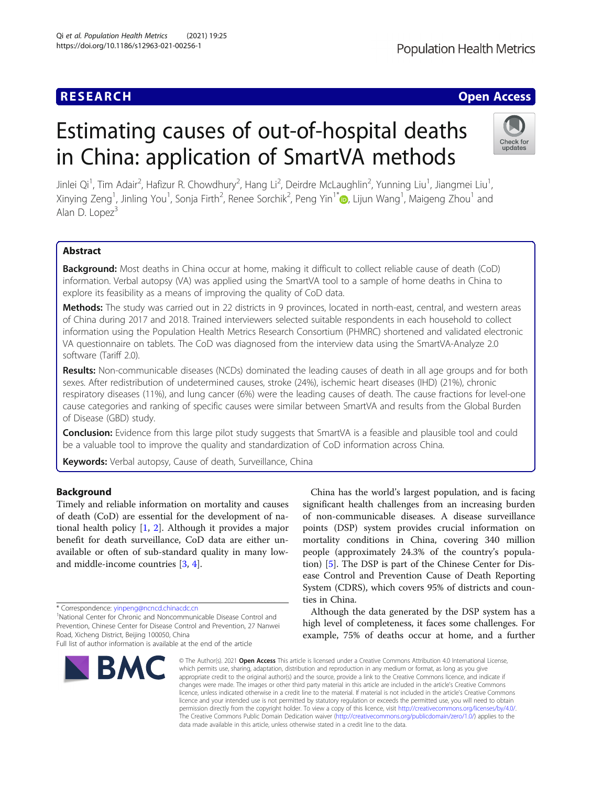# Estimating causes of out-of-hospital deaths in China: application of SmartVA methods

Jinlei Qi<sup>1</sup>, Tim Adair<sup>2</sup>, Hafizur R. Chowdhury<sup>2</sup>, Hang Li<sup>2</sup>, Deirdre McLaughlin<sup>2</sup>, Yunning Liu<sup>1</sup>, Jiangmei Liu<sup>1</sup> , Xinying Zeng<sup>1</sup>, Jinling You<sup>1</sup>, Sonja Firth<sup>2</sup>, Renee Sorchik<sup>2</sup>, Peng Yin<sup>1\*</sup>@, Lijun Wang<sup>1</sup>, Maigeng Zhou<sup>1</sup> and Alan D. Lope $z^3$ 

## Abstract

**Background:** Most deaths in China occur at home, making it difficult to collect reliable cause of death (CoD) information. Verbal autopsy (VA) was applied using the SmartVA tool to a sample of home deaths in China to explore its feasibility as a means of improving the quality of CoD data.

Methods: The study was carried out in 22 districts in 9 provinces, located in north-east, central, and western areas of China during 2017 and 2018. Trained interviewers selected suitable respondents in each household to collect information using the Population Health Metrics Research Consortium (PHMRC) shortened and validated electronic VA questionnaire on tablets. The CoD was diagnosed from the interview data using the SmartVA-Analyze 2.0 software (Tariff 2.0).

**Results:** Non-communicable diseases (NCDs) dominated the leading causes of death in all age groups and for both sexes. After redistribution of undetermined causes, stroke (24%), ischemic heart diseases (IHD) (21%), chronic respiratory diseases (11%), and lung cancer (6%) were the leading causes of death. The cause fractions for level-one cause categories and ranking of specific causes were similar between SmartVA and results from the Global Burden of Disease (GBD) study.

Conclusion: Evidence from this large pilot study suggests that SmartVA is a feasible and plausible tool and could be a valuable tool to improve the quality and standardization of CoD information across China.

Keywords: Verbal autopsy, Cause of death, Surveillance, China

## Background

Timely and reliable information on mortality and causes of death (CoD) are essential for the development of national health policy [[1,](#page-10-0) [2\]](#page-10-0). Although it provides a major benefit for death surveillance, CoD data are either unavailable or often of sub-standard quality in many lowand middle-income countries [\[3](#page-10-0), [4](#page-10-0)].

National Center for Chronic and Noncommunicable Disease Control and Prevention, Chinese Center for Disease Control and Prevention, 27 Nanwei Road, Xicheng District, Beijing 100050, China Full list of author information is available at the end of the article

significant health challenges from an increasing burden of non-communicable diseases. A disease surveillance points (DSP) system provides crucial information on mortality conditions in China, covering 340 million people (approximately 24.3% of the country's population) [\[5](#page-10-0)]. The DSP is part of the Chinese Center for Disease Control and Prevention Cause of Death Reporting System (CDRS), which covers 95% of districts and counties in China.

China has the world's largest population, and is facing

Although the data generated by the DSP system has a high level of completeness, it faces some challenges. For example, 75% of deaths occur at home, and a further

© The Author(s), 2021 **Open Access** This article is licensed under a Creative Commons Attribution 4.0 International License, which permits use, sharing, adaptation, distribution and reproduction in any medium or format, as long as you give appropriate credit to the original author(s) and the source, provide a link to the Creative Commons licence, and indicate if changes were made. The images or other third party material in this article are included in the article's Creative Commons licence, unless indicated otherwise in a credit line to the material. If material is not included in the article's Creative Commons licence and your intended use is not permitted by statutory regulation or exceeds the permitted use, you will need to obtain permission directly from the copyright holder. To view a copy of this licence, visit [http://creativecommons.org/licenses/by/4.0/.](http://creativecommons.org/licenses/by/4.0/) The Creative Commons Public Domain Dedication waiver [\(http://creativecommons.org/publicdomain/zero/1.0/](http://creativecommons.org/publicdomain/zero/1.0/)) applies to the data made available in this article, unless otherwise stated in a credit line to the data.





# **RESEARCH CHE Open Access**



<sup>\*</sup> Correspondence: [yinpeng@ncncd.chinacdc.cn](mailto:yinpeng@ncncd.chinacdc.cn) <sup>1</sup>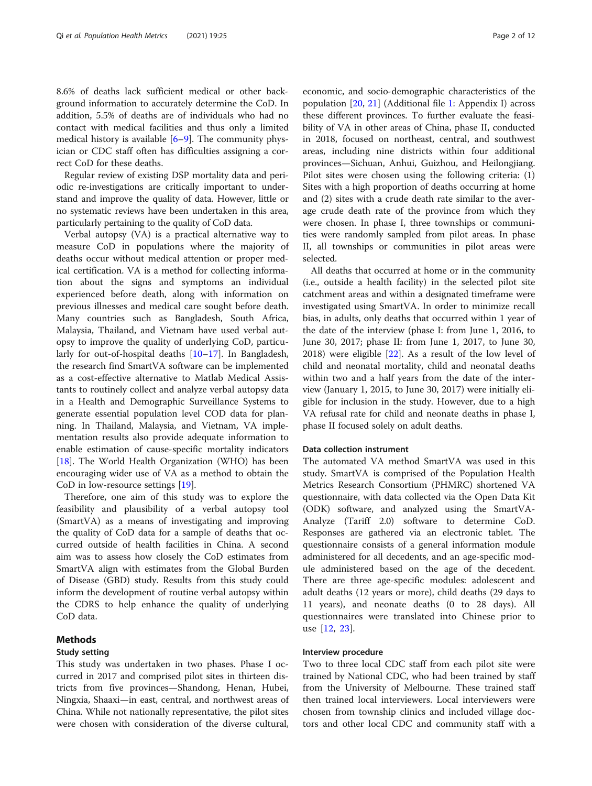8.6% of deaths lack sufficient medical or other background information to accurately determine the CoD. In addition, 5.5% of deaths are of individuals who had no contact with medical facilities and thus only a limited medical history is available  $[6-9]$  $[6-9]$  $[6-9]$ . The community physician or CDC staff often has difficulties assigning a correct CoD for these deaths.

Regular review of existing DSP mortality data and periodic re-investigations are critically important to understand and improve the quality of data. However, little or no systematic reviews have been undertaken in this area, particularly pertaining to the quality of CoD data.

Verbal autopsy (VA) is a practical alternative way to measure CoD in populations where the majority of deaths occur without medical attention or proper medical certification. VA is a method for collecting information about the signs and symptoms an individual experienced before death, along with information on previous illnesses and medical care sought before death. Many countries such as Bangladesh, South Africa, Malaysia, Thailand, and Vietnam have used verbal autopsy to improve the quality of underlying CoD, particularly for out-of-hospital deaths [[10](#page-10-0)–[17\]](#page-10-0). In Bangladesh, the research find SmartVA software can be implemented as a cost-effective alternative to Matlab Medical Assistants to routinely collect and analyze verbal autopsy data in a Health and Demographic Surveillance Systems to generate essential population level COD data for planning. In Thailand, Malaysia, and Vietnam, VA implementation results also provide adequate information to enable estimation of cause-specific mortality indicators [[18\]](#page-10-0). The World Health Organization (WHO) has been encouraging wider use of VA as a method to obtain the CoD in low-resource settings [\[19](#page-10-0)].

Therefore, one aim of this study was to explore the feasibility and plausibility of a verbal autopsy tool (SmartVA) as a means of investigating and improving the quality of CoD data for a sample of deaths that occurred outside of health facilities in China. A second aim was to assess how closely the CoD estimates from SmartVA align with estimates from the Global Burden of Disease (GBD) study. Results from this study could inform the development of routine verbal autopsy within the CDRS to help enhance the quality of underlying CoD data.

## Methods

#### Study setting

This study was undertaken in two phases. Phase I occurred in 2017 and comprised pilot sites in thirteen districts from five provinces—Shandong, Henan, Hubei, Ningxia, Shaaxi—in east, central, and northwest areas of China. While not nationally representative, the pilot sites were chosen with consideration of the diverse cultural, economic, and socio-demographic characteristics of the population [[20,](#page-10-0) [21\]](#page-10-0) (Additional file [1:](#page-9-0) Appendix I) across these different provinces. To further evaluate the feasibility of VA in other areas of China, phase II, conducted in 2018, focused on northeast, central, and southwest areas, including nine districts within four additional provinces—Sichuan, Anhui, Guizhou, and Heilongjiang. Pilot sites were chosen using the following criteria: (1) Sites with a high proportion of deaths occurring at home and (2) sites with a crude death rate similar to the average crude death rate of the province from which they were chosen. In phase I, three townships or communities were randomly sampled from pilot areas. In phase II, all townships or communities in pilot areas were selected.

All deaths that occurred at home or in the community (i.e., outside a health facility) in the selected pilot site catchment areas and within a designated timeframe were investigated using SmartVA. In order to minimize recall bias, in adults, only deaths that occurred within 1 year of the date of the interview (phase I: from June 1, 2016, to June 30, 2017; phase II: from June 1, 2017, to June 30, 2018) were eligible [\[22\]](#page-10-0). As a result of the low level of child and neonatal mortality, child and neonatal deaths within two and a half years from the date of the interview (January 1, 2015, to June 30, 2017) were initially eligible for inclusion in the study. However, due to a high VA refusal rate for child and neonate deaths in phase I, phase II focused solely on adult deaths.

### Data collection instrument

The automated VA method SmartVA was used in this study. SmartVA is comprised of the Population Health Metrics Research Consortium (PHMRC) shortened VA questionnaire, with data collected via the Open Data Kit (ODK) software, and analyzed using the SmartVA-Analyze (Tariff 2.0) software to determine CoD. Responses are gathered via an electronic tablet. The questionnaire consists of a general information module administered for all decedents, and an age-specific module administered based on the age of the decedent. There are three age-specific modules: adolescent and adult deaths (12 years or more), child deaths (29 days to 11 years), and neonate deaths (0 to 28 days). All questionnaires were translated into Chinese prior to use [[12,](#page-10-0) [23\]](#page-10-0).

#### Interview procedure

Two to three local CDC staff from each pilot site were trained by National CDC, who had been trained by staff from the University of Melbourne. These trained staff then trained local interviewers. Local interviewers were chosen from township clinics and included village doctors and other local CDC and community staff with a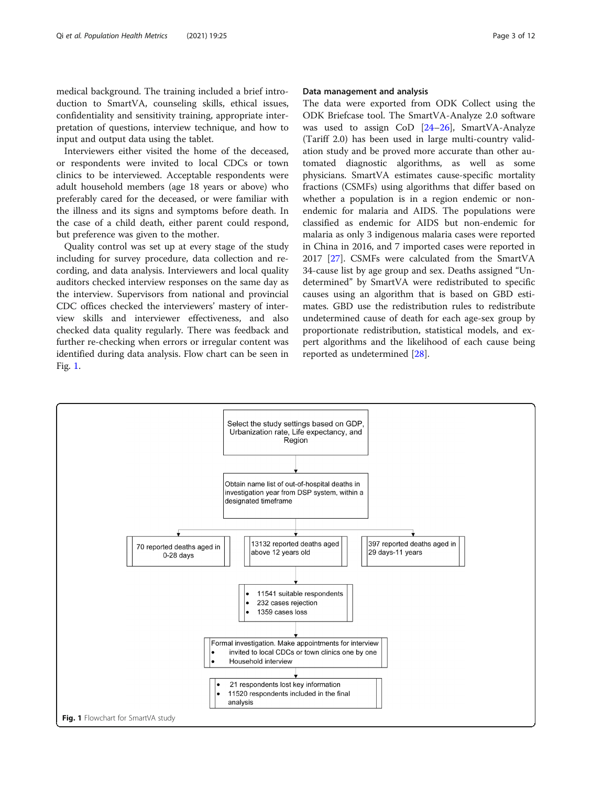medical background. The training included a brief introduction to SmartVA, counseling skills, ethical issues, confidentiality and sensitivity training, appropriate interpretation of questions, interview technique, and how to input and output data using the tablet.

Interviewers either visited the home of the deceased, or respondents were invited to local CDCs or town clinics to be interviewed. Acceptable respondents were adult household members (age 18 years or above) who preferably cared for the deceased, or were familiar with the illness and its signs and symptoms before death. In the case of a child death, either parent could respond, but preference was given to the mother.

Quality control was set up at every stage of the study including for survey procedure, data collection and recording, and data analysis. Interviewers and local quality auditors checked interview responses on the same day as the interview. Supervisors from national and provincial CDC offices checked the interviewers' mastery of interview skills and interviewer effectiveness, and also checked data quality regularly. There was feedback and further re-checking when errors or irregular content was identified during data analysis. Flow chart can be seen in Fig. 1.

#### Data management and analysis

The data were exported from ODK Collect using the ODK Briefcase tool. The SmartVA-Analyze 2.0 software was used to assign CoD [[24](#page-10-0)–[26](#page-11-0)], SmartVA-Analyze (Tariff 2.0) has been used in large multi-country validation study and be proved more accurate than other automated diagnostic algorithms, as well as some physicians. SmartVA estimates cause-specific mortality fractions (CSMFs) using algorithms that differ based on whether a population is in a region endemic or nonendemic for malaria and AIDS. The populations were classified as endemic for AIDS but non-endemic for malaria as only 3 indigenous malaria cases were reported in China in 2016, and 7 imported cases were reported in 2017 [[27](#page-11-0)]. CSMFs were calculated from the SmartVA 34-cause list by age group and sex. Deaths assigned "Undetermined" by SmartVA were redistributed to specific causes using an algorithm that is based on GBD estimates. GBD use the redistribution rules to redistribute undetermined cause of death for each age-sex group by proportionate redistribution, statistical models, and expert algorithms and the likelihood of each cause being reported as undetermined [\[28\]](#page-11-0).

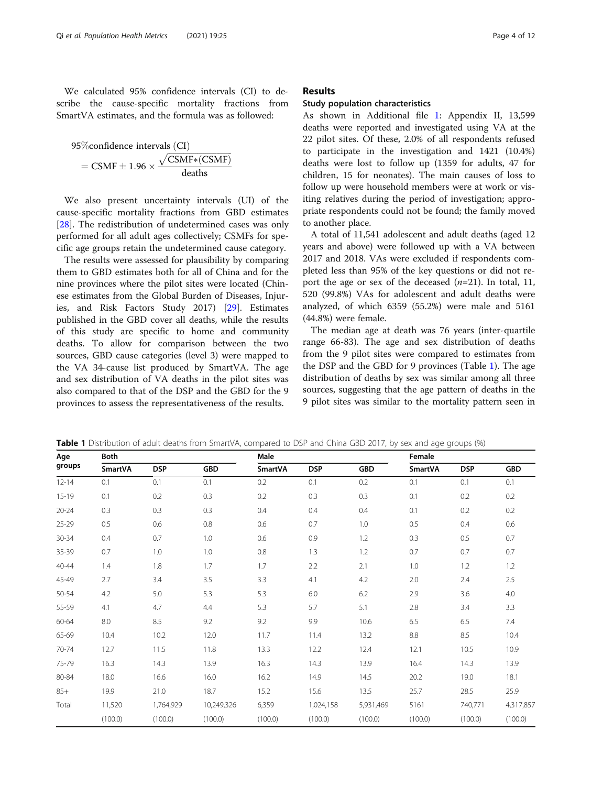We calculated 95% confidence intervals (CI) to describe the cause-specific mortality fractions from SmartVA estimates, and the formula was as followed:

95%confidence intervals (CI)  
= CSMF ± 1.96 × 
$$
\frac{\sqrt{CSMF*(CSMF)}}{\text{deaths}}
$$

We also present uncertainty intervals (UI) of the cause-specific mortality fractions from GBD estimates [[28\]](#page-11-0). The redistribution of undetermined cases was only performed for all adult ages collectively; CSMFs for specific age groups retain the undetermined cause category.

The results were assessed for plausibility by comparing them to GBD estimates both for all of China and for the nine provinces where the pilot sites were located (Chinese estimates from the Global Burden of Diseases, Injuries, and Risk Factors Study 2017) [\[29](#page-11-0)]. Estimates published in the GBD cover all deaths, while the results of this study are specific to home and community deaths. To allow for comparison between the two sources, GBD cause categories (level 3) were mapped to the VA 34-cause list produced by SmartVA. The age and sex distribution of VA deaths in the pilot sites was also compared to that of the DSP and the GBD for the 9 provinces to assess the representativeness of the results.

### Results

#### Study population characteristics

As shown in Additional file [1](#page-9-0): Appendix II, 13,599 deaths were reported and investigated using VA at the 22 pilot sites. Of these, 2.0% of all respondents refused to participate in the investigation and 1421 (10.4%) deaths were lost to follow up (1359 for adults, 47 for children, 15 for neonates). The main causes of loss to follow up were household members were at work or visiting relatives during the period of investigation; appropriate respondents could not be found; the family moved to another place.

A total of 11,541 adolescent and adult deaths (aged 12 years and above) were followed up with a VA between 2017 and 2018. VAs were excluded if respondents completed less than 95% of the key questions or did not report the age or sex of the deceased  $(n=21)$ . In total, 11, 520 (99.8%) VAs for adolescent and adult deaths were analyzed, of which 6359 (55.2%) were male and 5161 (44.8%) were female.

The median age at death was 76 years (inter-quartile range 66-83). The age and sex distribution of deaths from the 9 pilot sites were compared to estimates from the DSP and the GBD for 9 provinces (Table 1). The age distribution of deaths by sex was similar among all three sources, suggesting that the age pattern of deaths in the 9 pilot sites was similar to the mortality pattern seen in

| Age       | <b>Both</b> |            |            | Male           |            |            | Female         |            |            |
|-----------|-------------|------------|------------|----------------|------------|------------|----------------|------------|------------|
| groups    | SmartVA     | <b>DSP</b> | <b>GBD</b> | <b>SmartVA</b> | <b>DSP</b> | <b>GBD</b> | <b>SmartVA</b> | <b>DSP</b> | <b>GBD</b> |
| $12 - 14$ | 0.1         | 0.1        | 0.1        | 0.2            | 0.1        | 0.2        | 0.1            | 0.1        | 0.1        |
| $15 - 19$ | 0.1         | 0.2        | 0.3        | 0.2            | 0.3        | 0.3        | 0.1            | 0.2        | 0.2        |
| $20 - 24$ | 0.3         | 0.3        | 0.3        | 0.4            | 0.4        | 0.4        | 0.1            | 0.2        | 0.2        |
| 25-29     | 0.5         | 0.6        | 0.8        | 0.6            | 0.7        | 1.0        | 0.5            | 0.4        | 0.6        |
| 30-34     | 0.4         | 0.7        | 1.0        | 0.6            | 0.9        | 1.2        | 0.3            | 0.5        | 0.7        |
| 35-39     | 0.7         | 1.0        | 1.0        | 0.8            | 1.3        | 1.2        | 0.7            | 0.7        | 0.7        |
| $40 - 44$ | 1.4         | 1.8        | 1.7        | 1.7            | 2.2        | 2.1        | 1.0            | 1.2        | 1.2        |
| 45-49     | 2.7         | 3.4        | 3.5        | 3.3            | 4.1        | 4.2        | 2.0            | 2.4        | 2.5        |
| 50-54     | 4.2         | 5.0        | 5.3        | 5.3            | 6.0        | 6.2        | 2.9            | 3.6        | 4.0        |
| 55-59     | 4.1         | 4.7        | 4.4        | 5.3            | 5.7        | 5.1        | 2.8            | 3.4        | 3.3        |
| 60-64     | 8.0         | 8.5        | 9.2        | 9.2            | 9.9        | 10.6       | 6.5            | 6.5        | 7.4        |
| 65-69     | 10.4        | 10.2       | 12.0       | 11.7           | 11.4       | 13.2       | $8.8\,$        | 8.5        | 10.4       |
| 70-74     | 12.7        | 11.5       | 11.8       | 13.3           | 12.2       | 12.4       | 12.1           | 10.5       | 10.9       |
| 75-79     | 16.3        | 14.3       | 13.9       | 16.3           | 14.3       | 13.9       | 16.4           | 14.3       | 13.9       |
| 80-84     | 18.0        | 16.6       | 16.0       | 16.2           | 14.9       | 14.5       | 20.2           | 19.0       | 18.1       |
| $85+$     | 19.9        | 21.0       | 18.7       | 15.2           | 15.6       | 13.5       | 25.7           | 28.5       | 25.9       |
| Total     | 11,520      | 1,764,929  | 10,249,326 | 6,359          | 1,024,158  | 5,931,469  | 5161           | 740,771    | 4,317,857  |
|           | (100.0)     | (100.0)    | (100.0)    | (100.0)        | (100.0)    | (100.0)    | (100.0)        | (100.0)    | (100.0)    |

Table 1 Distribution of adult deaths from SmartVA, compared to DSP and China GBD 2017, by sex and age groups (%)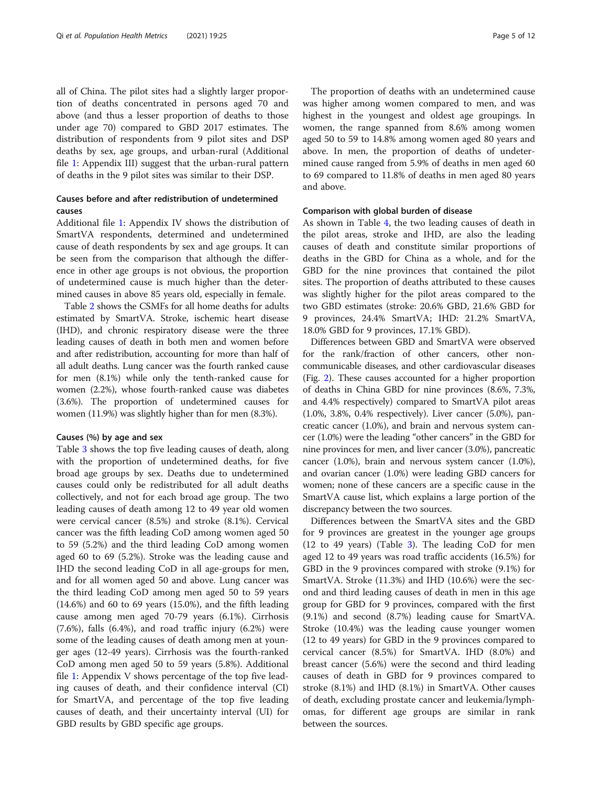all of China. The pilot sites had a slightly larger proportion of deaths concentrated in persons aged 70 and above (and thus a lesser proportion of deaths to those under age 70) compared to GBD 2017 estimates. The distribution of respondents from 9 pilot sites and DSP deaths by sex, age groups, and urban-rural (Additional file [1](#page-9-0): Appendix III) suggest that the urban-rural pattern of deaths in the 9 pilot sites was similar to their DSP.

## Causes before and after redistribution of undetermined causes

Additional file [1](#page-9-0): Appendix IV shows the distribution of SmartVA respondents, determined and undetermined cause of death respondents by sex and age groups. It can be seen from the comparison that although the difference in other age groups is not obvious, the proportion of undetermined cause is much higher than the determined causes in above 85 years old, especially in female.

Table [2](#page-5-0) shows the CSMFs for all home deaths for adults estimated by SmartVA. Stroke, ischemic heart disease (IHD), and chronic respiratory disease were the three leading causes of death in both men and women before and after redistribution, accounting for more than half of all adult deaths. Lung cancer was the fourth ranked cause for men (8.1%) while only the tenth-ranked cause for women (2.2%), whose fourth-ranked cause was diabetes (3.6%). The proportion of undetermined causes for women (11.9%) was slightly higher than for men (8.3%).

#### Causes (%) by age and sex

Table [3](#page-6-0) shows the top five leading causes of death, along with the proportion of undetermined deaths, for five broad age groups by sex. Deaths due to undetermined causes could only be redistributed for all adult deaths collectively, and not for each broad age group. The two leading causes of death among 12 to 49 year old women were cervical cancer (8.5%) and stroke (8.1%). Cervical cancer was the fifth leading CoD among women aged 50 to 59 (5.2%) and the third leading CoD among women aged 60 to 69 (5.2%). Stroke was the leading cause and IHD the second leading CoD in all age-groups for men, and for all women aged 50 and above. Lung cancer was the third leading CoD among men aged 50 to 59 years  $(14.6\%)$  and 60 to 69 years  $(15.0\%)$ , and the fifth leading cause among men aged 70-79 years (6.1%). Cirrhosis (7.6%), falls (6.4%), and road traffic injury (6.2%) were some of the leading causes of death among men at younger ages (12-49 years). Cirrhosis was the fourth-ranked CoD among men aged 50 to 59 years (5.8%). Additional file [1:](#page-9-0) Appendix V shows percentage of the top five leading causes of death, and their confidence interval (CI) for SmartVA, and percentage of the top five leading causes of death, and their uncertainty interval (UI) for GBD results by GBD specific age groups.

The proportion of deaths with an undetermined cause was higher among women compared to men, and was highest in the youngest and oldest age groupings. In women, the range spanned from 8.6% among women aged 50 to 59 to 14.8% among women aged 80 years and above. In men, the proportion of deaths of undetermined cause ranged from 5.9% of deaths in men aged 60 to 69 compared to 11.8% of deaths in men aged 80 years and above.

#### Comparison with global burden of disease

As shown in Table [4](#page-7-0), the two leading causes of death in the pilot areas, stroke and IHD, are also the leading causes of death and constitute similar proportions of deaths in the GBD for China as a whole, and for the GBD for the nine provinces that contained the pilot sites. The proportion of deaths attributed to these causes was slightly higher for the pilot areas compared to the two GBD estimates (stroke: 20.6% GBD, 21.6% GBD for 9 provinces, 24.4% SmartVA; IHD: 21.2% SmartVA, 18.0% GBD for 9 provinces, 17.1% GBD).

Differences between GBD and SmartVA were observed for the rank/fraction of other cancers, other noncommunicable diseases, and other cardiovascular diseases (Fig. [2\)](#page-8-0). These causes accounted for a higher proportion of deaths in China GBD for nine provinces (8.6%, 7.3%, and 4.4% respectively) compared to SmartVA pilot areas (1.0%, 3.8%, 0.4% respectively). Liver cancer (5.0%), pancreatic cancer (1.0%), and brain and nervous system cancer (1.0%) were the leading "other cancers" in the GBD for nine provinces for men, and liver cancer (3.0%), pancreatic cancer (1.0%), brain and nervous system cancer (1.0%), and ovarian cancer (1.0%) were leading GBD cancers for women; none of these cancers are a specific cause in the SmartVA cause list, which explains a large portion of the discrepancy between the two sources.

Differences between the SmartVA sites and the GBD for 9 provinces are greatest in the younger age groups (12 to 49 years) (Table [3\)](#page-6-0). The leading CoD for men aged 12 to 49 years was road traffic accidents (16.5%) for GBD in the 9 provinces compared with stroke (9.1%) for SmartVA. Stroke (11.3%) and IHD (10.6%) were the second and third leading causes of death in men in this age group for GBD for 9 provinces, compared with the first (9.1%) and second (8.7%) leading cause for SmartVA. Stroke (10.4%) was the leading cause younger women (12 to 49 years) for GBD in the 9 provinces compared to cervical cancer (8.5%) for SmartVA. IHD (8.0%) and breast cancer (5.6%) were the second and third leading causes of death in GBD for 9 provinces compared to stroke (8.1%) and IHD (8.1%) in SmartVA. Other causes of death, excluding prostate cancer and leukemia/lymphomas, for different age groups are similar in rank between the sources.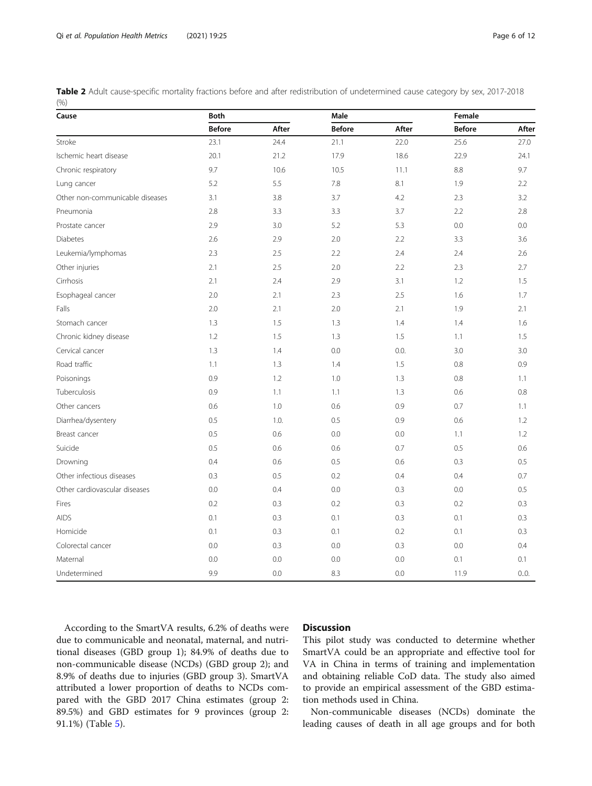<span id="page-5-0"></span>

|       |  | Table 2 Adult cause-specific mortality fractions before and after redistribution of undetermined cause category by sex, 2017-2018 |
|-------|--|-----------------------------------------------------------------------------------------------------------------------------------|
| (9/0) |  |                                                                                                                                   |

| Cause                           | <b>Both</b>   |       | Male          |       | Female        |       |  |
|---------------------------------|---------------|-------|---------------|-------|---------------|-------|--|
|                                 | <b>Before</b> | After | <b>Before</b> | After | <b>Before</b> | After |  |
| Stroke                          | 23.1          | 24.4  | 21.1          | 22.0  | 25.6          | 27.0  |  |
| Ischemic heart disease          | 20.1          | 21.2  | 17.9          | 18.6  | 22.9          | 24.1  |  |
| Chronic respiratory             | 9.7           | 10.6  | 10.5          | 11.1  | 8.8           | 9.7   |  |
| Lung cancer                     | 5.2           | 5.5   | 7.8           | 8.1   | 1.9           | 2.2   |  |
| Other non-communicable diseases | 3.1           | 3.8   | 3.7           | 4.2   | 2.3           | 3.2   |  |
| Pneumonia                       | 2.8           | 3.3   | 3.3           | 3.7   | 2.2           | 2.8   |  |
| Prostate cancer                 | 2.9           | 3.0   | 5.2           | 5.3   | 0.0           | 0.0   |  |
| <b>Diabetes</b>                 | 2.6           | 2.9   | 2.0           | 2.2   | 3.3           | 3.6   |  |
| Leukemia/lymphomas              | 2.3           | 2.5   | 2.2           | 2.4   | 2.4           | 2.6   |  |
| Other injuries                  | 2.1           | 2.5   | 2.0           | 2.2   | 2.3           | 2.7   |  |
| Cirrhosis                       | 2.1           | 2.4   | 2.9           | 3.1   | 1.2           | 1.5   |  |
| Esophageal cancer               | 2.0           | 2.1   | 2.3           | 2.5   | 1.6           | 1.7   |  |
| Falls                           | 2.0           | 2.1   | 2.0           | 2.1   | 1.9           | 2.1   |  |
| Stomach cancer                  | 1.3           | 1.5   | 1.3           | 1.4   | 1.4           | 1.6   |  |
| Chronic kidney disease          | 1.2           | 1.5   | 1.3           | 1.5   | 1.1           | 1.5   |  |
| Cervical cancer                 | 1.3           | 1.4   | 0.0           | 0.0.  | 3.0           | 3.0   |  |
| Road traffic                    | 1.1           | 1.3   | 1.4           | 1.5   | 0.8           | 0.9   |  |
| Poisonings                      | 0.9           | 1.2   | 1.0           | 1.3   | 0.8           | 1.1   |  |
| Tuberculosis                    | 0.9           | 1.1   | 1.1           | 1.3   | 0.6           | 0.8   |  |
| Other cancers                   | 0.6           | 1.0   | 0.6           | 0.9   | 0.7           | 1.1   |  |
| Diarrhea/dysentery              | 0.5           | 1.0.  | 0.5           | 0.9   | 0.6           | 1.2   |  |
| Breast cancer                   | 0.5           | 0.6   | 0.0           | 0.0   | 1.1           | 1.2   |  |
| Suicide                         | 0.5           | 0.6   | 0.6           | 0.7   | 0.5           | 0.6   |  |
| Drowning                        | 0.4           | 0.6   | 0.5           | 0.6   | 0.3           | 0.5   |  |
| Other infectious diseases       | 0.3           | 0.5   | 0.2           | 0.4   | 0.4           | 0.7   |  |
| Other cardiovascular diseases   | 0.0           | 0.4   | 0.0           | 0.3   | 0.0           | 0.5   |  |
| Fires                           | 0.2           | 0.3   | 0.2           | 0.3   | 0.2           | 0.3   |  |
| <b>AIDS</b>                     | 0.1           | 0.3   | 0.1           | 0.3   | 0.1           | 0.3   |  |
| Homicide                        | 0.1           | 0.3   | 0.1           | 0.2   | 0.1           | 0.3   |  |
| Colorectal cancer               | 0.0           | 0.3   | 0.0           | 0.3   | 0.0           | 0.4   |  |
| Maternal                        | 0.0           | 0.0   | 0.0           | 0.0   | 0.1           | 0.1   |  |
| Undetermined                    | 9.9           | 0.0   | 8.3           | 0.0   | 11.9          | 0.0.  |  |

According to the SmartVA results, 6.2% of deaths were due to communicable and neonatal, maternal, and nutritional diseases (GBD group 1); 84.9% of deaths due to non-communicable disease (NCDs) (GBD group 2); and 8.9% of deaths due to injuries (GBD group 3). SmartVA attributed a lower proportion of deaths to NCDs compared with the GBD 2017 China estimates (group 2: 89.5%) and GBD estimates for 9 provinces (group 2: 91.1%) (Table [5\)](#page-8-0).

## **Discussion**

This pilot study was conducted to determine whether SmartVA could be an appropriate and effective tool for VA in China in terms of training and implementation and obtaining reliable CoD data. The study also aimed to provide an empirical assessment of the GBD estimation methods used in China.

Non-communicable diseases (NCDs) dominate the leading causes of death in all age groups and for both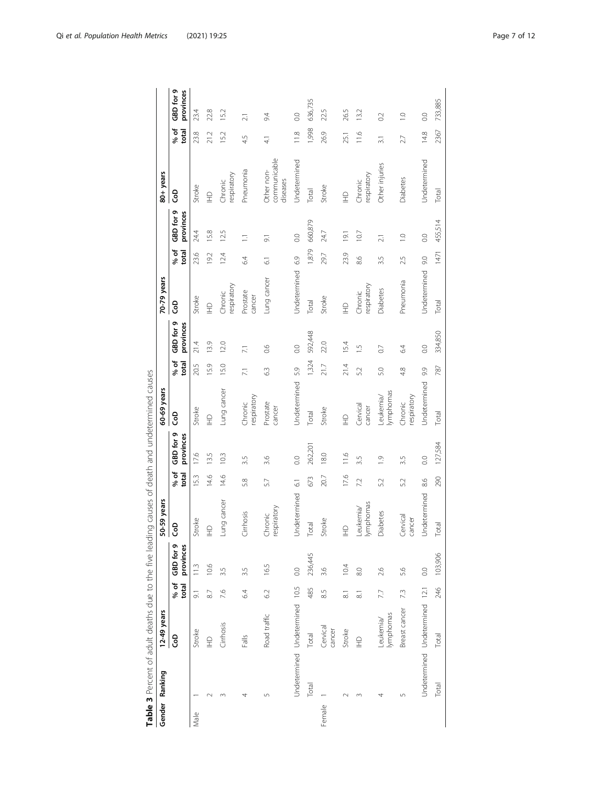<span id="page-6-0"></span>

| 4.5<br>$\overline{4}$<br>27<br>$\frac{1}{3}$<br>communicable<br>Undetermined<br>Undetermined<br>Other injuries<br>Pneumonia<br>Other non-<br>respiratory<br>respiratory<br><b>Diabetes</b><br>diseases<br>Chronic<br>Chronic<br>Stroke<br>Stroke<br>Total<br>Total<br>ဒ္ပိ<br>$\widehat{\Xi}$<br>$\supseteq$<br>GBD for 9<br>provinces<br>660,879<br>455,514<br>24.4<br>15.8<br>12.5<br>24.7<br>10.7<br>19.1<br>$\overline{0}$ .<br>$\overline{C}$<br>$\overline{0}$ .<br>$\Box$<br>$\overline{9}$<br>$\overline{21}$<br>1,879<br>% of<br>total<br>1471<br>23.9<br>23.6<br>12.4<br>192<br>29.7<br>64<br>6.9<br>8.6<br>9.0<br>3.5<br>2.5<br>$\overline{61}$<br>Undetermined<br>Undetermined<br>Lung cancer<br>Pneumonia<br>respiratory<br>respiratory<br><b>Diabetes</b><br>Prostate<br>Chronic<br>Chronic<br>Stroke<br>cancer<br>Stroke<br>Total<br>Total<br>င်္င<br>$\widehat{\Xi}$<br>$\supseteq$<br>GBD for 9<br>provinces<br>592,448<br>334,850<br>13.9<br>21.4<br>12.0<br>22.0<br>15.4<br>0.0<br>6.4<br>0.6<br>$\overline{0}$ .<br>LV.<br>$\overline{0}$<br>$\overline{71}$<br>1,324<br>% of<br>total<br>21.4<br>15.9<br>20.5<br>15.0<br>21.7<br>787<br>63<br>5.9<br>5.2<br>5.0<br>4.8<br>9.9<br>$\overline{71}$<br>Undetermined<br>Undetermined<br>Lung cancer<br>lymphomas<br>Leukemia/<br>respiratory<br>espiratory<br>Prostate<br>Chronic<br>Chronic<br>Cervical<br>cancer<br>cancer<br>Stroke<br>Stroke<br>Total<br>Total<br>င်္င<br>$\frac{1}{2}$<br>$\supseteq$<br>GBD for 9<br>provinces<br>127,584<br>262,201<br>17.6<br>18.0<br>116<br>13.5<br>10.3<br>3.6<br>3.5<br>$\overline{0}$ .<br>3.5<br>$\frac{1}{2}$<br>3.5<br>$\rm ^{\circ}$<br>% of<br>total<br>17.6<br>15.3<br>14.6<br>14.6<br>20.7<br>290<br>673<br>5.8<br>8.6<br>52<br>57<br>72<br>52<br>$\overline{6}$<br>Undetermined<br>Undetermined<br>ng cancer<br>Leukemia/<br>lymphomas<br>respiratory<br><b>Diabetes</b><br>Cirrhosis<br>Chronic<br>Cervical<br>cancer<br>Stroke<br>Stroke<br>Total<br>Total<br>GOD<br>$\triangleq$<br>$\supseteq$<br>Ĕ<br>GBD for 9<br>provinces<br>236,445<br>103,906<br>10.6<br>10.4<br>16.5<br>113<br>$\overline{0}$ .<br>8.0<br>2.6<br>$\overline{0}$ .<br>3.5<br>3.5<br>3.6<br>5.6<br>% of<br>total<br>Undetermined Undetermined 10.5<br>Undetermined Undetermined 12.1<br>246<br>485<br>62<br>7.3<br>7.6<br>64<br>8.5<br>7.7<br>$\overline{9}$ .<br>8.7<br>$\overline{8}$<br>$\overline{\circ}$<br>Breast cancer<br>lymphomas<br>Road traffic<br>Leukemia/<br>Cirrhosis<br>Cervical<br>cancer<br>Stroke<br>Stroke<br>Total<br>င်္င<br>Total<br>Falls<br>$\supseteq$<br>$E_{\pm}$<br>Total<br>Total<br>$\sqrt{ }$<br>5<br>$\infty$<br>4<br>4<br>Female<br>Male | Gender Ranking | 12-49 years |  | -59 years<br>ន្ល |  | 60-69 years |  | 70-79 years |  | 80+ years |               |                        |
|---------------------------------------------------------------------------------------------------------------------------------------------------------------------------------------------------------------------------------------------------------------------------------------------------------------------------------------------------------------------------------------------------------------------------------------------------------------------------------------------------------------------------------------------------------------------------------------------------------------------------------------------------------------------------------------------------------------------------------------------------------------------------------------------------------------------------------------------------------------------------------------------------------------------------------------------------------------------------------------------------------------------------------------------------------------------------------------------------------------------------------------------------------------------------------------------------------------------------------------------------------------------------------------------------------------------------------------------------------------------------------------------------------------------------------------------------------------------------------------------------------------------------------------------------------------------------------------------------------------------------------------------------------------------------------------------------------------------------------------------------------------------------------------------------------------------------------------------------------------------------------------------------------------------------------------------------------------------------------------------------------------------------------------------------------------------------------------------------------------------------------------------------------------------------------------------------------------------------------------------------------------------------------------------------------------------------------------------------------------------------------------------------------------------------------------------------------------------------------------------------------------------------------------------------------------------------------------------------------------------------------------------------------------------------|----------------|-------------|--|------------------|--|-------------|--|-------------|--|-----------|---------------|------------------------|
|                                                                                                                                                                                                                                                                                                                                                                                                                                                                                                                                                                                                                                                                                                                                                                                                                                                                                                                                                                                                                                                                                                                                                                                                                                                                                                                                                                                                                                                                                                                                                                                                                                                                                                                                                                                                                                                                                                                                                                                                                                                                                                                                                                                                                                                                                                                                                                                                                                                                                                                                                                                                                                                                           |                |             |  |                  |  |             |  |             |  |           | % of<br>total | GBD for 9<br>provinces |
|                                                                                                                                                                                                                                                                                                                                                                                                                                                                                                                                                                                                                                                                                                                                                                                                                                                                                                                                                                                                                                                                                                                                                                                                                                                                                                                                                                                                                                                                                                                                                                                                                                                                                                                                                                                                                                                                                                                                                                                                                                                                                                                                                                                                                                                                                                                                                                                                                                                                                                                                                                                                                                                                           |                |             |  |                  |  |             |  |             |  |           | 23.8          | 23.4                   |
|                                                                                                                                                                                                                                                                                                                                                                                                                                                                                                                                                                                                                                                                                                                                                                                                                                                                                                                                                                                                                                                                                                                                                                                                                                                                                                                                                                                                                                                                                                                                                                                                                                                                                                                                                                                                                                                                                                                                                                                                                                                                                                                                                                                                                                                                                                                                                                                                                                                                                                                                                                                                                                                                           |                |             |  |                  |  |             |  |             |  |           | 21.2          | 22.8                   |
|                                                                                                                                                                                                                                                                                                                                                                                                                                                                                                                                                                                                                                                                                                                                                                                                                                                                                                                                                                                                                                                                                                                                                                                                                                                                                                                                                                                                                                                                                                                                                                                                                                                                                                                                                                                                                                                                                                                                                                                                                                                                                                                                                                                                                                                                                                                                                                                                                                                                                                                                                                                                                                                                           |                |             |  |                  |  |             |  |             |  |           | 15.2          | 15.2                   |
|                                                                                                                                                                                                                                                                                                                                                                                                                                                                                                                                                                                                                                                                                                                                                                                                                                                                                                                                                                                                                                                                                                                                                                                                                                                                                                                                                                                                                                                                                                                                                                                                                                                                                                                                                                                                                                                                                                                                                                                                                                                                                                                                                                                                                                                                                                                                                                                                                                                                                                                                                                                                                                                                           |                |             |  |                  |  |             |  |             |  |           |               | $\overline{21}$        |
|                                                                                                                                                                                                                                                                                                                                                                                                                                                                                                                                                                                                                                                                                                                                                                                                                                                                                                                                                                                                                                                                                                                                                                                                                                                                                                                                                                                                                                                                                                                                                                                                                                                                                                                                                                                                                                                                                                                                                                                                                                                                                                                                                                                                                                                                                                                                                                                                                                                                                                                                                                                                                                                                           |                |             |  |                  |  |             |  |             |  |           |               | 94                     |
|                                                                                                                                                                                                                                                                                                                                                                                                                                                                                                                                                                                                                                                                                                                                                                                                                                                                                                                                                                                                                                                                                                                                                                                                                                                                                                                                                                                                                                                                                                                                                                                                                                                                                                                                                                                                                                                                                                                                                                                                                                                                                                                                                                                                                                                                                                                                                                                                                                                                                                                                                                                                                                                                           |                |             |  |                  |  |             |  |             |  |           | 118           | $\overline{0}$ .       |
|                                                                                                                                                                                                                                                                                                                                                                                                                                                                                                                                                                                                                                                                                                                                                                                                                                                                                                                                                                                                                                                                                                                                                                                                                                                                                                                                                                                                                                                                                                                                                                                                                                                                                                                                                                                                                                                                                                                                                                                                                                                                                                                                                                                                                                                                                                                                                                                                                                                                                                                                                                                                                                                                           |                |             |  |                  |  |             |  |             |  |           | 1,998         | 636,735                |
|                                                                                                                                                                                                                                                                                                                                                                                                                                                                                                                                                                                                                                                                                                                                                                                                                                                                                                                                                                                                                                                                                                                                                                                                                                                                                                                                                                                                                                                                                                                                                                                                                                                                                                                                                                                                                                                                                                                                                                                                                                                                                                                                                                                                                                                                                                                                                                                                                                                                                                                                                                                                                                                                           |                |             |  |                  |  |             |  |             |  |           | 26.9          | 22.5                   |
|                                                                                                                                                                                                                                                                                                                                                                                                                                                                                                                                                                                                                                                                                                                                                                                                                                                                                                                                                                                                                                                                                                                                                                                                                                                                                                                                                                                                                                                                                                                                                                                                                                                                                                                                                                                                                                                                                                                                                                                                                                                                                                                                                                                                                                                                                                                                                                                                                                                                                                                                                                                                                                                                           |                |             |  |                  |  |             |  |             |  |           | 25.1          | 26.5                   |
|                                                                                                                                                                                                                                                                                                                                                                                                                                                                                                                                                                                                                                                                                                                                                                                                                                                                                                                                                                                                                                                                                                                                                                                                                                                                                                                                                                                                                                                                                                                                                                                                                                                                                                                                                                                                                                                                                                                                                                                                                                                                                                                                                                                                                                                                                                                                                                                                                                                                                                                                                                                                                                                                           |                |             |  |                  |  |             |  |             |  |           | 11.6          | 13.2                   |
|                                                                                                                                                                                                                                                                                                                                                                                                                                                                                                                                                                                                                                                                                                                                                                                                                                                                                                                                                                                                                                                                                                                                                                                                                                                                                                                                                                                                                                                                                                                                                                                                                                                                                                                                                                                                                                                                                                                                                                                                                                                                                                                                                                                                                                                                                                                                                                                                                                                                                                                                                                                                                                                                           |                |             |  |                  |  |             |  |             |  |           |               | $\sim$                 |
|                                                                                                                                                                                                                                                                                                                                                                                                                                                                                                                                                                                                                                                                                                                                                                                                                                                                                                                                                                                                                                                                                                                                                                                                                                                                                                                                                                                                                                                                                                                                                                                                                                                                                                                                                                                                                                                                                                                                                                                                                                                                                                                                                                                                                                                                                                                                                                                                                                                                                                                                                                                                                                                                           |                |             |  |                  |  |             |  |             |  |           |               | $\overline{1.0}$       |
|                                                                                                                                                                                                                                                                                                                                                                                                                                                                                                                                                                                                                                                                                                                                                                                                                                                                                                                                                                                                                                                                                                                                                                                                                                                                                                                                                                                                                                                                                                                                                                                                                                                                                                                                                                                                                                                                                                                                                                                                                                                                                                                                                                                                                                                                                                                                                                                                                                                                                                                                                                                                                                                                           |                |             |  |                  |  |             |  |             |  |           | 14.8          | $\overline{0}$ .       |
|                                                                                                                                                                                                                                                                                                                                                                                                                                                                                                                                                                                                                                                                                                                                                                                                                                                                                                                                                                                                                                                                                                                                                                                                                                                                                                                                                                                                                                                                                                                                                                                                                                                                                                                                                                                                                                                                                                                                                                                                                                                                                                                                                                                                                                                                                                                                                                                                                                                                                                                                                                                                                                                                           |                |             |  |                  |  |             |  |             |  |           | 2367          | 733,885                |

| りりり                                                                                                                                           |
|-----------------------------------------------------------------------------------------------------------------------------------------------|
| yalish tahudhararartartar 1976   Africa Africa Alisha Anglia Africa Africa Africa Africa Africa Africa Africa A<br>j<br>こりりり<br>$\frac{1}{2}$ |
| j<br>$\frac{5}{1}$<br>;                                                                                                                       |
| 5<br>j                                                                                                                                        |
|                                                                                                                                               |
| うりり                                                                                                                                           |
| ころころ ひ<br>J                                                                                                                                   |
| ジニノミ ノニコ Dコマ                                                                                                                                  |
|                                                                                                                                               |
| $\frac{1}{2}$                                                                                                                                 |
| ֖֖֖֖֖֧֖֪֚֚֚֚֚֚֚֚֚֚֚֚֚֚֚֚֚֚֚֚֚֚֚֚֡֝֓֝֓֬֓֓֬֓֓֬֓֓֓֬֓֓֬֝֓֬֝֓֬֓֓֬֝֓֬֝֬֓֬֝֬֝֬֝֓֬֝֬֝֬<br>j<br>$\frac{1}{2}$<br>J                                     |
| j<br>- 1- 1-<br>j                                                                                                                             |
|                                                                                                                                               |
| ) とうりょう<br>Ó<br>l<br>able 3 Perce                                                                                                             |
|                                                                                                                                               |
| F                                                                                                                                             |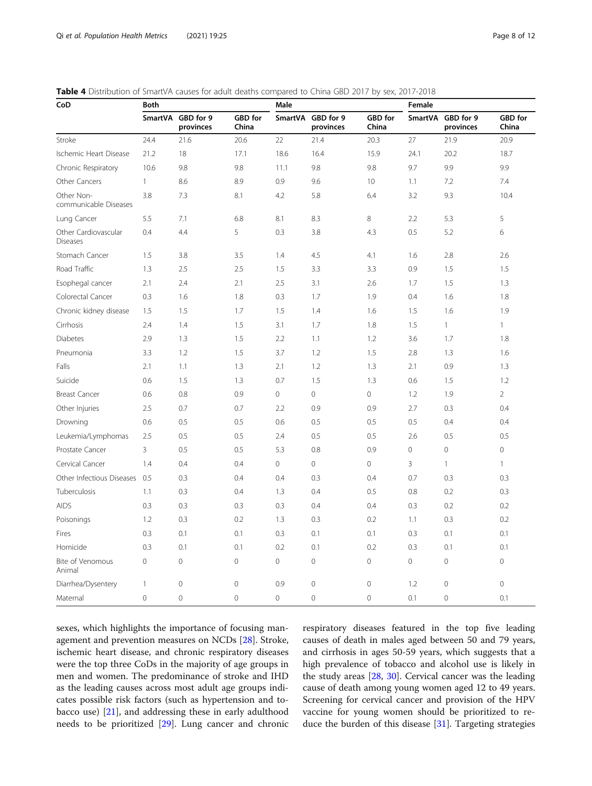| CoD                                     | <b>Both</b>         |                                |                  | Male         |                        |                  | Female      |                        |                  |
|-----------------------------------------|---------------------|--------------------------------|------------------|--------------|------------------------|------------------|-------------|------------------------|------------------|
|                                         |                     | SmartVA GBD for 9<br>provinces | GBD for<br>China | SmartVA      | GBD for 9<br>provinces | GBD for<br>China | SmartVA     | GBD for 9<br>provinces | GBD for<br>China |
| Stroke                                  | 24.4                | 21.6                           | 20.6             | 22           | 21.4                   | 20.3             | 27          | 21.9                   | 20.9             |
| Ischemic Heart Disease                  | 21.2                | 18                             | 17.1             | 18.6         | 16.4                   | 15.9             | 24.1        | 20.2                   | 18.7             |
| Chronic Respiratory                     | 10.6                | 9.8                            | 9.8              | 11.1         | 9.8                    | 9.8              | 9.7         | 9.9                    | 9.9              |
| Other Cancers                           | $\mathbf{1}$        | 8.6                            | 8.9              | 0.9          | 9.6                    | 10               | 1.1         | 7.2                    | 7.4              |
| Other Non-<br>communicable Diseases     | 3.8                 | 7.3                            | 8.1              | 4.2          | 5.8                    | 6.4              | 3.2         | 9.3                    | 10.4             |
| Lung Cancer                             | 5.5                 | 7.1                            | 6.8              | 8.1          | 8.3                    | 8                | 2.2         | 5.3                    | 5                |
| Other Cardiovascular<br><b>Diseases</b> | 0.4                 | 4.4                            | 5                | 0.3          | 3.8                    | 4.3              | 0.5         | 5.2                    | 6                |
| Stomach Cancer                          | 1.5                 | 3.8                            | 3.5              | 1.4          | 4.5                    | 4.1              | 1.6         | 2.8                    | 2.6              |
| Road Traffic                            | 1.3                 | 2.5                            | 2.5              | 1.5          | 3.3                    | 3.3              | 0.9         | 1.5                    | 1.5              |
| Esophegal cancer                        | 2.1                 | 2.4                            | 2.1              | 2.5          | 3.1                    | 2.6              | 1.7         | 1.5                    | 1.3              |
| Colorectal Cancer                       | 0.3                 | 1.6                            | 1.8              | 0.3          | 1.7                    | 1.9              | 0.4         | 1.6                    | 1.8              |
| Chronic kidney disease                  | 1.5                 | 1.5                            | 1.7              | 1.5          | 1.4                    | 1.6              | 1.5         | 1.6                    | 1.9              |
| Cirrhosis                               | 2.4                 | 1.4                            | 1.5              | 3.1          | 1.7                    | 1.8              | 1.5         | $\mathbf{1}$           | 1                |
| <b>Diabetes</b>                         | 2.9                 | 1.3                            | 1.5              | 2.2          | 1.1                    | 1.2              | 3.6         | 1.7                    | 1.8              |
| Pneumonia                               | 3.3                 | 1.2                            | 1.5              | 3.7          | 1.2                    | 1.5              | 2.8         | 1.3                    | 1.6              |
| Falls                                   | 2.1                 | 1.1                            | 1.3              | 2.1          | 1.2                    | 1.3              | 2.1         | 0.9                    | 1.3              |
| Suicide                                 | 0.6                 | 1.5                            | 1.3              | 0.7          | 1.5                    | 1.3              | 0.6         | 1.5                    | 1.2              |
| <b>Breast Cancer</b>                    | 0.6                 | 0.8                            | 0.9              | $\mathbf 0$  | 0                      | 0                | 1.2         | 1.9                    | $\overline{2}$   |
| Other Injuries                          | 2.5                 | 0.7                            | 0.7              | 2.2          | 0.9                    | 0.9              | 2.7         | 0.3                    | 0.4              |
| Drowning                                | 0.6                 | 0.5                            | 0.5              | 0.6          | 0.5                    | 0.5              | 0.5         | 0.4                    | 0.4              |
| Leukemia/Lymphomas                      | 2.5                 | 0.5                            | 0.5              | 2.4          | 0.5                    | 0.5              | 2.6         | 0.5                    | 0.5              |
| Prostate Cancer                         | 3                   | 0.5                            | 0.5              | 5.3          | 0.8                    | 0.9              | $\mathbf 0$ | 0                      | $\mathbf 0$      |
| Cervical Cancer                         | 1.4                 | 0.4                            | 0.4              | $\mathbf 0$  | 0                      | $\circ$          | 3           | $\mathbf{1}$           | 1                |
| Other Infectious Diseases               | 0.5                 | 0.3                            | 0.4              | 0.4          | 0.3                    | 0.4              | 0.7         | 0.3                    | 0.3              |
| Tuberculosis                            | 1.1                 | 0.3                            | 0.4              | 1.3          | 0.4                    | 0.5              | 0.8         | 0.2                    | 0.3              |
| <b>AIDS</b>                             | 0.3                 | 0.3                            | 0.3              | 0.3          | 0.4                    | 0.4              | 0.3         | 0.2                    | 0.2              |
| Poisonings                              | 1.2                 | 0.3                            | 0.2              | 1.3          | 0.3                    | 0.2              | 1.1         | 0.3                    | 0.2              |
| Fires                                   | 0.3                 | 0.1                            | 0.1              | 0.3          | 0.1                    | 0.1              | 0.3         | 0.1                    | 0.1              |
| Homicide                                | 0.3                 | 0.1                            | 0.1              | 0.2          | 0.1                    | 0.2              | 0.3         | 0.1                    | 0.1              |
| Bite of Venomous<br>Animal              | $\mathsf{O}\xspace$ | $\overline{0}$                 | $\mathbf 0$      | $\mathbf 0$  | $\mathsf{O}\xspace$    | $\circ$          | $\circ$     | $\mathbf{0}$           | $\mathbf 0$      |
| Diarrhea/Dysentery                      | 1                   | $\mathbf{0}$                   | $\mathbf 0$      | 0.9          | $\mathbf 0$            | $\mathbf 0$      | 1.2         | $\mathbf{0}$           | $\mathbf{0}$     |
| Maternal                                | $\circ$             | $\Omega$                       | $\Omega$         | $\mathbf{0}$ | $\mathbf 0$            | $\Omega$         | 0.1         | $\Omega$               | 0.1              |

<span id="page-7-0"></span>Table 4 Distribution of SmartVA causes for adult deaths compared to China GBD 2017 by sex, 2017-2018

sexes, which highlights the importance of focusing management and prevention measures on NCDs [\[28\]](#page-11-0). Stroke, ischemic heart disease, and chronic respiratory diseases were the top three CoDs in the majority of age groups in men and women. The predominance of stroke and IHD as the leading causes across most adult age groups indicates possible risk factors (such as hypertension and tobacco use) [[21\]](#page-10-0), and addressing these in early adulthood needs to be prioritized [[29](#page-11-0)]. Lung cancer and chronic

respiratory diseases featured in the top five leading causes of death in males aged between 50 and 79 years, and cirrhosis in ages 50-59 years, which suggests that a high prevalence of tobacco and alcohol use is likely in the study areas [[28,](#page-11-0) [30\]](#page-11-0). Cervical cancer was the leading cause of death among young women aged 12 to 49 years. Screening for cervical cancer and provision of the HPV vaccine for young women should be prioritized to reduce the burden of this disease [[31](#page-11-0)]. Targeting strategies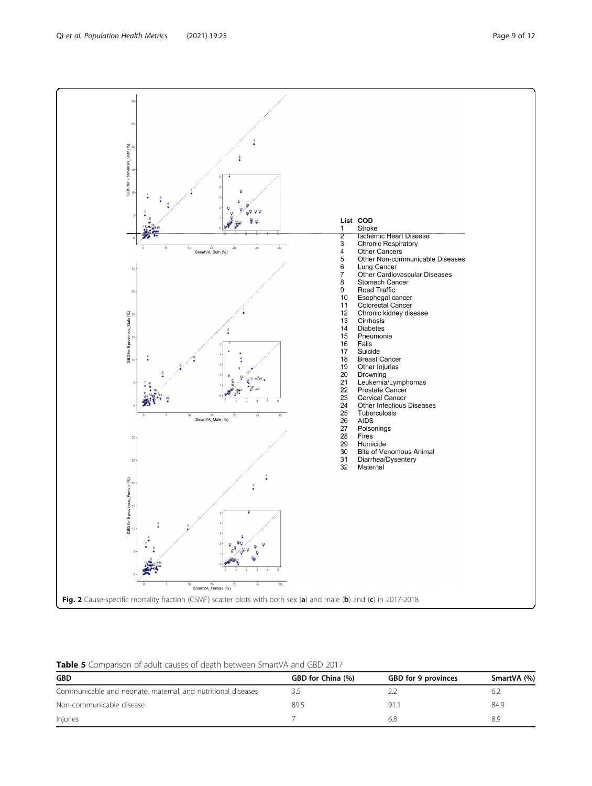<span id="page-8-0"></span>GBD for 9 provinces\_Both (%) List COD  $1\!\!$ Stroke  $\overline{1}$ **Ischemic Heart Disease**  $\overline{2}$  $\overline{3}$ Chronic Respiratory  $\overline{4}$ <sup>15</sup><br>SmartVA\_Both (%) Other Cancers  $\overline{5}$ Other Non-communicable Diseases  $\begin{array}{c} 6 \\ 7 \\ 8 \end{array}$ Lung Cancer Other Cardiovascular Diseases Stomach Cancer  $\frac{9}{10}$ Road Traffic Esophegal cancer<br>Colorectal Cancer<br>Chronic kidney disease  $11$ <br> $12$ <br> $13$ <br> $14$ <br> $15$ <br> $16$ GBD for 9 provinces\_Male  $\binom{96}{8}$ Circhic<br>Circhosis<br>Diabetes ł Pneumonia Falls  $17$ Suicide Í.  $18$ **Breast Cancer** 19 Other Injuries Drowning<br>Drowning<br>Leukemia/Lymphomas 20<br>
22<br>
23<br>
24<br>
25<br>
26<br>
27<br>
28<br>
29<br>
30<br>
31  $14<sup>4</sup>15$  $\frac{7}{4}$  $\cdot_{29}$ Prostate Cancer 調整  $^{25}$ Cervical Cancer Other Infectious Diseases Tuberculosis<br>AIDS<br>Poisonings SmartVA\_Male (%) Fires<br>
Homicide<br>
Pincide Homicide<br>Bite of Venomous Animal<br>Diarrhea/Dysentery  $\overline{32}$ Maternal GBD for 9 provinces\_Female (%)  $\frac{2}{4}$ <sup>15</sup><br>SmartVA\_Female (%) Fig. 2 Cause-specific mortality fraction (CSMF) scatter plots with both sex (a) and male (b) and (c) in 2017-2018

 $\frac{2}{4}$ 



| <b>GBD</b>                                                   | GBD for China (%) | GBD for 9 provinces | SmartVA (%) |
|--------------------------------------------------------------|-------------------|---------------------|-------------|
| Communicable and neonate, maternal, and nutritional diseases |                   |                     |             |
| Non-communicable disease                                     | 89.5              | 91.                 | 84.9        |
| Injuries                                                     |                   | 6.8                 | 8.9         |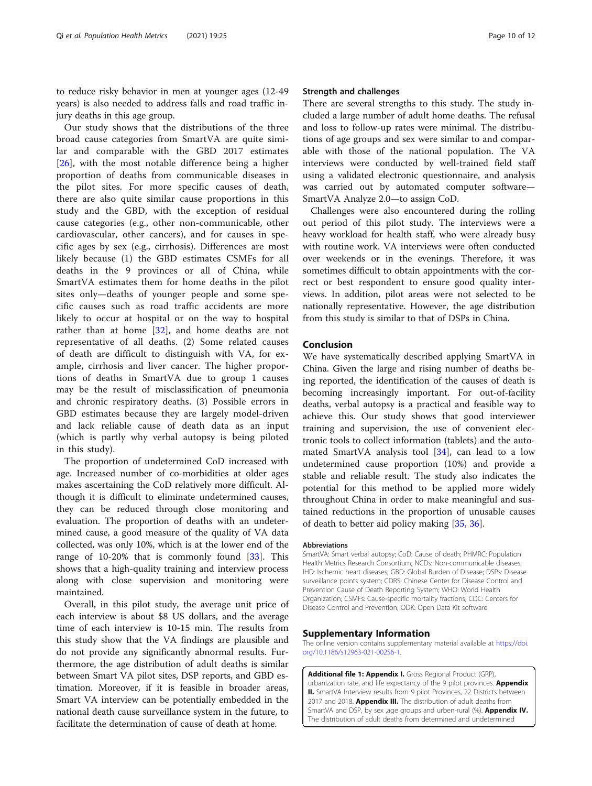<span id="page-9-0"></span>to reduce risky behavior in men at younger ages (12-49 years) is also needed to address falls and road traffic injury deaths in this age group.

Our study shows that the distributions of the three broad cause categories from SmartVA are quite similar and comparable with the GBD 2017 estimates [[26\]](#page-11-0), with the most notable difference being a higher proportion of deaths from communicable diseases in the pilot sites. For more specific causes of death, there are also quite similar cause proportions in this study and the GBD, with the exception of residual cause categories (e.g., other non-communicable, other cardiovascular, other cancers), and for causes in specific ages by sex (e.g., cirrhosis). Differences are most likely because (1) the GBD estimates CSMFs for all deaths in the 9 provinces or all of China, while SmartVA estimates them for home deaths in the pilot sites only—deaths of younger people and some specific causes such as road traffic accidents are more likely to occur at hospital or on the way to hospital rather than at home [\[32](#page-11-0)], and home deaths are not representative of all deaths. (2) Some related causes of death are difficult to distinguish with VA, for example, cirrhosis and liver cancer. The higher proportions of deaths in SmartVA due to group 1 causes may be the result of misclassification of pneumonia and chronic respiratory deaths. (3) Possible errors in GBD estimates because they are largely model-driven and lack reliable cause of death data as an input (which is partly why verbal autopsy is being piloted in this study).

The proportion of undetermined CoD increased with age. Increased number of co-morbidities at older ages makes ascertaining the CoD relatively more difficult. Although it is difficult to eliminate undetermined causes, they can be reduced through close monitoring and evaluation. The proportion of deaths with an undetermined cause, a good measure of the quality of VA data collected, was only 10%, which is at the lower end of the range of 10-20% that is commonly found  $[33]$  $[33]$ . This shows that a high-quality training and interview process along with close supervision and monitoring were maintained.

Overall, in this pilot study, the average unit price of each interview is about \$8 US dollars, and the average time of each interview is 10-15 min. The results from this study show that the VA findings are plausible and do not provide any significantly abnormal results. Furthermore, the age distribution of adult deaths is similar between Smart VA pilot sites, DSP reports, and GBD estimation. Moreover, if it is feasible in broader areas, Smart VA interview can be potentially embedded in the national death cause surveillance system in the future, to facilitate the determination of cause of death at home.

#### Strength and challenges

There are several strengths to this study. The study included a large number of adult home deaths. The refusal and loss to follow-up rates were minimal. The distributions of age groups and sex were similar to and comparable with those of the national population. The VA interviews were conducted by well-trained field staff using a validated electronic questionnaire, and analysis was carried out by automated computer software— SmartVA Analyze 2.0—to assign CoD.

Challenges were also encountered during the rolling out period of this pilot study. The interviews were a heavy workload for health staff, who were already busy with routine work. VA interviews were often conducted over weekends or in the evenings. Therefore, it was sometimes difficult to obtain appointments with the correct or best respondent to ensure good quality interviews. In addition, pilot areas were not selected to be nationally representative. However, the age distribution from this study is similar to that of DSPs in China.

#### Conclusion

We have systematically described applying SmartVA in China. Given the large and rising number of deaths being reported, the identification of the causes of death is becoming increasingly important. For out-of-facility deaths, verbal autopsy is a practical and feasible way to achieve this. Our study shows that good interviewer training and supervision, the use of convenient electronic tools to collect information (tablets) and the automated SmartVA analysis tool  $[34]$  $[34]$ , can lead to a low undetermined cause proportion (10%) and provide a stable and reliable result. The study also indicates the potential for this method to be applied more widely throughout China in order to make meaningful and sustained reductions in the proportion of unusable causes of death to better aid policy making [[35,](#page-11-0) [36](#page-11-0)].

#### Abbreviations

SmartVA: Smart verbal autopsy; CoD: Cause of death; PHMRC: Population Health Metrics Research Consortium; NCDs: Non-communicable diseases; IHD: Ischemic heart diseases; GBD: Global Burden of Disease; DSPs: Disease surveillance points system; CDRS: Chinese Center for Disease Control and Prevention Cause of Death Reporting System; WHO: World Health Organization; CSMFs: Cause-specific mortality fractions; CDC: Centers for Disease Control and Prevention; ODK: Open Data Kit software

#### Supplementary Information

The online version contains supplementary material available at [https://doi.](https://doi.org/10.1186/s12963-021-00256-1) [org/10.1186/s12963-021-00256-1.](https://doi.org/10.1186/s12963-021-00256-1)

Additional file 1: Appendix I. Gross Regional Product (GRP) urbanization rate, and life expectancy of the 9 pilot provinces. Appendix II. SmartVA Interview results from 9 pilot Provinces, 22 Districts between 2017 and 2018. Appendix III. The distribution of adult deaths from SmartVA and DSP, by sex ,age groups and urben-rural (%). Appendix IV. The distribution of adult deaths from determined and undetermined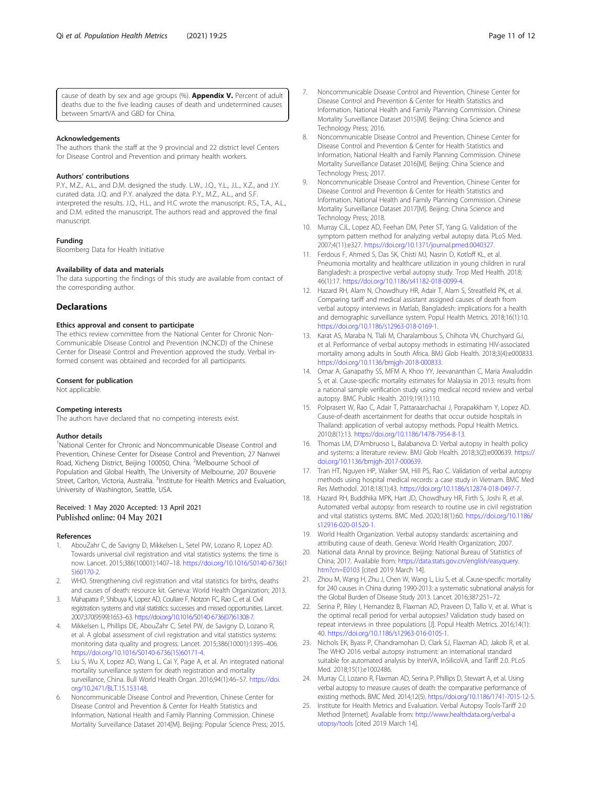<span id="page-10-0"></span>cause of death by sex and age groups (%). Appendix V. Percent of adult deaths due to the five leading causes of death and undetermined causes between SmartVA and GBD for China.

#### Acknowledgements

The authors thank the staff at the 9 provincial and 22 district level Centers for Disease Control and Prevention and primary health workers.

#### Authors' contributions

P.Y., M.Z., A.L., and D.M. designed the study. L.W., J.Q., Y.L., J.L., X.Z., and J.Y. curated data. J.Q. and P.Y. analyzed the data. P.Y., M.Z., A.L., and S.F. interpreted the results. J.Q., H.L., and H.C wrote the manuscript. R.S., T.A., A.L., and D.M. edited the manuscript. The authors read and approved the final manuscript.

#### Funding

Bloomberg Data for Health Initiative

#### Availability of data and materials

The data supporting the findings of this study are available from contact of the corresponding author.

#### **Declarations**

#### Ethics approval and consent to participate

The ethics review committee from the National Center for Chronic Non-Communicable Disease Control and Prevention (NCNCD) of the Chinese Center for Disease Control and Prevention approved the study. Verbal informed consent was obtained and recorded for all participants.

#### Consent for publication

Not applicable.

#### Competing interests

The authors have declared that no competing interests exist.

#### Author details

<sup>1</sup>National Center for Chronic and Noncommunicable Disease Control and Prevention, Chinese Center for Disease Control and Prevention, 27 Nanwei Road, Xicheng District, Beijing 100050, China. <sup>2</sup>Melbourne School of Population and Global Health, The University of Melbourne, 207 Bouverie Street, Carlton, Victoria, Australia. <sup>3</sup>Institute for Health Metrics and Evaluation, University of Washington, Seattle, USA.

### Received: 1 May 2020 Accepted: 13 April 2021 Published online: 04 May 2021

#### References

- 1. AbouZahr C, de Savigny D, Mikkelsen L, Setel PW, Lozano R, Lopez AD. Towards universal civil registration and vital statistics systems: the time is now. Lancet. 2015;386(10001):1407–18. [https://doi.org/10.1016/S0140-6736\(1](https://doi.org/10.1016/S0140-6736(15)60170-2) [5\)60170-2](https://doi.org/10.1016/S0140-6736(15)60170-2).
- 2. WHO. Strengthening civil registration and vital statistics for births, deaths and causes of death: resource kit. Geneva: World Health Organization; 2013.
- 3. Mahapatra P, Shibuya K, Lopez AD, Coullare F, Notzon FC, Rao C, et al. Civil registration systems and vital statistics: successes and missed opportunities. Lancet. 2007;370(9599):1653–63. [https://doi.org/10.1016/S0140-6736\(07\)61308-7](https://doi.org/10.1016/S0140-6736(07)61308-7).
- 4. Mikkelsen L, Phillips DE, AbouZahr C, Setel PW, de Savigny D, Lozano R, et al. A global assessment of civil registration and vital statistics systems: monitoring data quality and progress. Lancet. 2015;386(10001):1395–406. [https://doi.org/10.1016/S0140-6736\(15\)60171-4.](https://doi.org/10.1016/S0140-6736(15)60171-4)
- 5. Liu S, Wu X, Lopez AD, Wang L, Cai Y, Page A, et al. An integrated national mortality surveillance system for death registration and mortality surveillance, China. Bull World Health Organ. 2016;94(1):46–57. [https://doi.](https://doi.org/10.2471/BLT.15.153148) [org/10.2471/BLT.15.153148.](https://doi.org/10.2471/BLT.15.153148)
- 6. Noncommunicable Disease Control and Prevention, Chinese Center for Disease Control and Prevention & Center for Health Statistics and Information, National Health and Family Planning Commission. Chinese Mortality Surveillance Dataset 2014[M]. Beijing: Popular Science Press; 2015.
- 7. Noncommunicable Disease Control and Prevention, Chinese Center for Disease Control and Prevention & Center for Health Statistics and Information, National Health and Family Planning Commission. Chinese Mortality Surveillance Dataset 2015[M]. Beijing: China Science and Technology Press; 2016.
- 8. Noncommunicable Disease Control and Prevention, Chinese Center for Disease Control and Prevention & Center for Health Statistics and Information, National Health and Family Planning Commission. Chinese Mortality Surveillance Dataset 2016[M]. Beijing: China Science and Technology Press; 2017.
- 9. Noncommunicable Disease Control and Prevention, Chinese Center for Disease Control and Prevention & Center for Health Statistics and Information, National Health and Family Planning Commission. Chinese Mortality Surveillance Dataset 2017[M]. Beijing: China Science and Technology Press; 2018.
- 10. Murray CJL, Lopez AD, Feehan DM, Peter ST, Yang G. Validation of the symptom pattern method for analyzing verbal autopsy data. PLoS Med. 2007;4(11):e327. [https://doi.org/10.1371/journal.pmed.0040327.](https://doi.org/10.1371/journal.pmed.0040327)
- 11. Ferdous F, Ahmed S, Das SK, Chisti MJ, Nasrin D, Kotloff KL, et al. Pneumonia mortality and healthcare utilization in young children in rural Bangladesh: a prospective verbal autopsy study. Trop Med Health. 2018; 46(1):17. <https://doi.org/10.1186/s41182-018-0099-4>.
- 12. Hazard RH, Alam N, Chowdhury HR, Adair T, Alam S, Streatfield PK, et al. Comparing tariff and medical assistant assigned causes of death from verbal autopsy interviews in Matlab, Bangladesh: implications for a health and demographic surveillance system. Popul Health Metrics. 2018;16(1):10. <https://doi.org/10.1186/s12963-018-0169-1>.
- 13. Karat AS, Maraba N, Tlali M, Charalambous S, Chihota VN, Churchyard GJ, et al. Performance of verbal autopsy methods in estimating HIV-associated mortality among adults in South Africa. BMJ Glob Health. 2018;3(4):e000833. [https://doi.org/10.1136/bmjgh-2018-000833.](https://doi.org/10.1136/bmjgh-2018-000833)
- 14. Omar A, Ganapathy SS, MFM A, Khoo YY, Jeevananthan C, Maria Awaluddin S, et al. Cause-specific mortality estimates for Malaysia in 2013: results from a national sample verification study using medical record review and verbal autopsy. BMC Public Health. 2019;19(1):110.
- 15. Polprasert W, Rao C, Adair T, Pattaraarchachai J, Porapakkham Y, Lopez AD. Cause-of-death ascertainment for deaths that occur outside hospitals in Thailand: application of verbal autopsy methods. Popul Health Metrics. 2010;8(1):13. <https://doi.org/10.1186/1478-7954-8-13>.
- 16. Thomas LM, D'Ambruoso L, Balabanova D. Verbal autopsy in health policy and systems: a literature review. BMJ Glob Health. 2018;3(2):e000639. [https://](https://doi.org/10.1136/bmjgh-2017-000639) [doi.org/10.1136/bmjgh-2017-000639](https://doi.org/10.1136/bmjgh-2017-000639).
- 17. Tran HT, Nguyen HP, Walker SM, Hill PS, Rao C. Validation of verbal autopsy methods using hospital medical records: a case study in Vietnam. BMC Med Res Methodol. 2018;18(1):43. <https://doi.org/10.1186/s12874-018-0497-7>.
- 18. Hazard RH, Buddhika MPK, Hart JD, Chowdhury HR, Firth S, Joshi R, et al. Automated verbal autopsy: from research to routine use in civil registration and vital statistics systems. BMC Med. 2020;18(1):60. [https://doi.org/10.1186/](https://doi.org/10.1186/s12916-020-01520-1) [s12916-020-01520-1](https://doi.org/10.1186/s12916-020-01520-1).
- 19. World Health Organization. Verbal autopsy standards: ascertaining and attributing cause of death. Geneva: World Health Organization; 2007.
- 20. National data Annal by province. Beijing: National Bureau of Statistics of China; 2017. Available from: [https://data.stats.gov.cn/english/easyquery.](https://data.stats.gov.cn/english/easyquery.htm?cn=E0103) [htm?cn=E0103](https://data.stats.gov.cn/english/easyquery.htm?cn=E0103) [cited 2019 March 14].
- 21. Zhou M, Wang H, Zhu J, Chen W, Wang L, Liu S, et al. Cause-specific mortality for 240 causes in China during 1990-2013: a systematic subnational analysis for the Global Burden of Disease Study 2013. Lancet. 2016;387:251–72.
- 22. Serina P, Riley I, Hernandez B, Flaxman AD, Praveen D, Tallo V, et al. What is the optimal recall period for verbal autopsies? Validation study based on repeat interviews in three populations [J]. Popul Health Metrics. 2016;14(1): 40. <https://doi.org/10.1186/s12963-016-0105-1>.
- 23. Nichols EK, Byass P, Chandramohan D, Clark SJ, Flaxman AD, Jakob R, et al. The WHO 2016 verbal autopsy instrument: an international standard suitable for automated analysis by InterVA, InSilicoVA, and Tariff 2.0. PLoS Med. 2018;15(1):e1002486.
- 24. Murray CJ, Lozano R, Flaxman AD, Serina P, Phillips D, Stewart A, et al. Using verbal autopsy to measure causes of death: the comparative performance of existing methods. BMC Med. 2014;12(5). <https://doi.org/10.1186/1741-7015-12-5>.
- 25. Institute for Health Metrics and Evaluation. Verbal Autopsy Tools-Tariff 2.0 Method [Internet]. Available from: [http://www.healthdata.org/verbal-a](http://www.healthdata.org/verbal-autopsy/tools) [utopsy/tools](http://www.healthdata.org/verbal-autopsy/tools) [cited 2019 March 14].